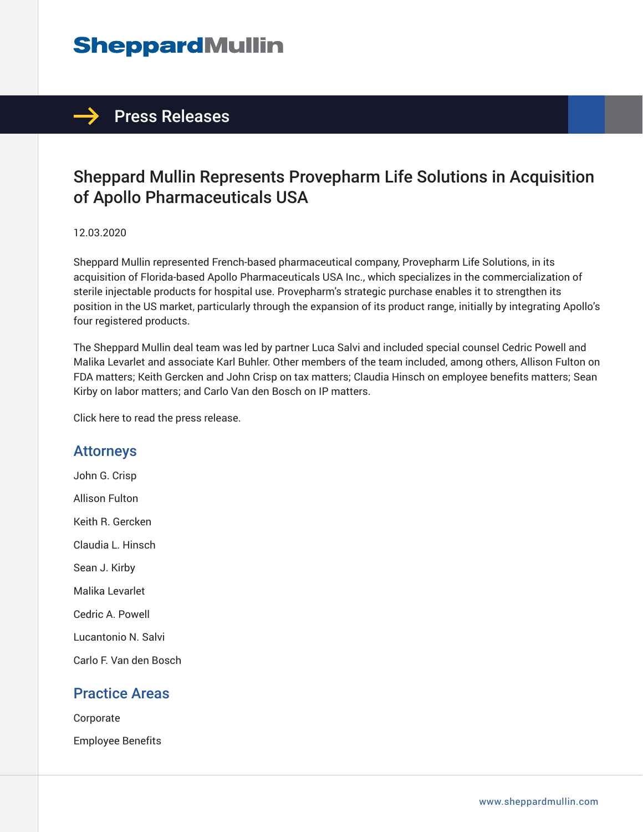## **SheppardMullin**

### $\rightarrow$  Press Releases

## Sheppard Mullin Represents Provepharm Life Solutions in Acquisition of Apollo Pharmaceuticals USA

#### 12.03.2020

Sheppard Mullin represented French-based pharmaceutical company, Provepharm Life Solutions, in its acquisition of Florida-based Apollo Pharmaceuticals USA Inc., which specializes in the commercialization of sterile injectable products for hospital use. Provepharm's strategic purchase enables it to strengthen its position in the US market, particularly through the expansion of its product range, initially by integrating Apollo's four registered products.

The Sheppard Mullin deal team was led by partner Luca Salvi and included special counsel Cedric Powell and Malika Levarlet and associate Karl Buhler. Other members of the team included, among others, Allison Fulton on FDA matters; Keith Gercken and John Crisp on tax matters; Claudia Hinsch on employee benefits matters; Sean Kirby on labor matters; and Carlo Van den Bosch on IP matters.

Click here to read the press release.

#### Attorneys

John G. Crisp Allison Fulton Keith R. Gercken Claudia L. Hinsch Sean J. Kirby Malika Levarlet Cedric A. Powell Lucantonio N. Salvi Carlo F. Van den Bosch

#### Practice Areas

**Corporate** Employee Benefits